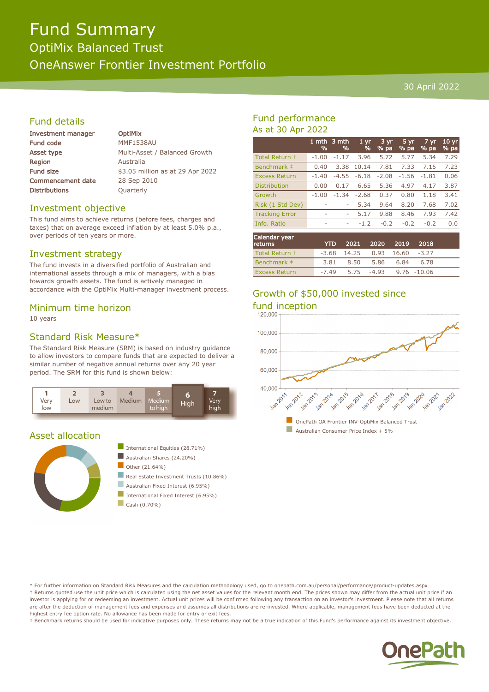# Fund Summary

OptiMix Balanced Trust

OneAnswer Frontier Investment Portfolio

#### 30 April 2022

# Fund details

| <b>Investment manager</b> | <b>OptiMix</b>                   |
|---------------------------|----------------------------------|
| <b>Fund code</b>          | <b>MMF1538AU</b>                 |
| Asset type                | Multi-Asset / Balanced Growth    |
| <b>Region</b>             | Australia                        |
| <b>Fund size</b>          | \$3.05 million as at 29 Apr 2022 |
| <b>Commencement date</b>  | 28 Sep 2010                      |
| <b>Distributions</b>      | Quarterly                        |
|                           |                                  |

## Investment objective

This fund aims to achieve returns (before fees, charges and taxes) that on average exceed inflation by at least 5.0% p.a., over periods of ten years or more.

## Investment strategy

The fund invests in a diversified portfolio of Australian and international assets through a mix of managers, with a bias towards growth assets. The fund is actively managed in accordance with the OptiMix Multi-manager investment process.

#### Minimum time horizon

10 years

# Standard Risk Measure\*

The Standard Risk Measure (SRM) is based on industry guidance to allow investors to compare funds that are expected to deliver a similar number of negative annual returns over any 20 year period. The SRM for this fund is shown below:



#### Asset allocation





- International Fixed Interest (6.95%)
- $\Box$  Cash (0.70%)

# Fund performance As at 30 Apr 2022

|                       | 1 mth<br>% | 3 mth<br>% | 1 <sub>yr</sub><br>% | $3 \text{ yr}$<br>$%$ pa | $5 \, yr$<br>$%$ pa | 7 yr<br>$%$ pa | $10 \text{ yr}$<br>% pa |
|-----------------------|------------|------------|----------------------|--------------------------|---------------------|----------------|-------------------------|
| Total Return +        | $-1.00$    | $-1.17$    | 3.96                 | 5.72                     | 5.77                | 5.34           | 7.29                    |
| Benchmark ‡           | 0.40       | 3.38       | 10.14                | 7.81                     | 7.33                | 7.15           | 7.23                    |
| <b>Excess Return</b>  | $-1.40$    | $-4.55$    | $-6.18$              | $-2.08$                  | $-1.56$             | $-1.81$        | 0.06                    |
| <b>Distribution</b>   | 0.00       | 0.17       | 6.65                 | 5.36                     | 4.97                | 4.17           | 3.87                    |
| Growth                | $-1.00$    | $-1.34$    | $-2.68$              | 0.37                     | 0.80                | 1.18           | 3.41                    |
| Risk (1 Std Dev)      |            | ۰          | 5.34                 | 9.64                     | 8.20                | 7.68           | 7.02                    |
| <b>Tracking Error</b> | ٠          | ۰          | 5.17                 | 9.88                     | 8.46                | 7.93           | 7.42                    |
| Info. Ratio           | ۰          | ۰          | $-1.2$               | $-0.2$                   | $-0.2$              | $-0.2$         | 0.0                     |
|                       |            |            |                      |                          |                     |                |                         |

| Calendar year<br><b>returns</b> | <b>YTD</b> |                                  | 2021 2020 2019 2018    |           |      |  |
|---------------------------------|------------|----------------------------------|------------------------|-----------|------|--|
| Total Return +                  |            | $-3.68$ 14.25 0.93 16.60 $-3.27$ |                        |           |      |  |
| Benchmark #                     | 3.81       | 8.50                             |                        | 5.86 6.84 | 6.78 |  |
| <b>Excess Return</b>            | -7.49      |                                  | 5.75 -4.93 9.76 -10.06 |           |      |  |

# Growth of \$50,000 invested since



\* For further information on Standard Risk Measures and the calculation methodology used, go to onepath.com.au/personal/performance/product-updates.aspx † Returns quoted use the unit price which is calculated using the net asset values for the relevant month end. The prices shown may differ from the actual unit price if an investor is applying for or redeeming an investment. Actual unit prices will be confirmed following any transaction on an investor's investment. Please note that all returns are after the deduction of management fees and expenses and assumes all distributions are re-invested. Where applicable, management fees have been deducted at the highest entry fee option rate. No allowance has been made for entry or exit fees.

‡ Benchmark returns should be used for indicative purposes only. These returns may not be a true indication of this Fund's performance against its investment objective.